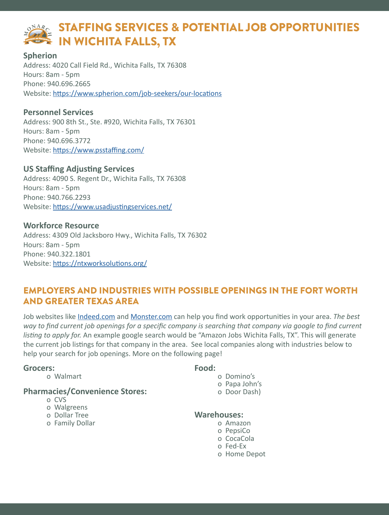# STAFFING SERVICES & POTENTIAL JOB OPPORTUNITIES IN WICHITA FALLS, TX

**Spherion** Address: 4020 Call Field Rd., Wichita Falls, TX 76308 Hours: 8am - 5pm Phone: 940.696.2665 Website: <https://www.spherion.com/job-seekers/our-locations>

### **Personnel Services**

Address: 900 8th St., Ste. #920, Wichita Falls, TX 76301 Hours: 8am - 5pm Phone: 940.696.3772 Website: <https://www.psstaffing.com/>

#### **US Staffing Adjusting Services**

Address: 4090 S. Regent Dr., Wichita Falls, TX 76308 Hours: 8am - 5pm Phone: 940.766.2293 Website: <https://www.usadjustingservices.net/>

**Workforce Resource** Address: 4309 Old Jacksboro Hwy., Wichita Falls, TX 76302 Hours: 8am - 5pm Phone: 940.322.1801 Website: <https://ntxworksolutions.org/>

## EMPLOYERS AND INDUSTRIES WITH POSSIBLE OPENINGS IN THE FORT WORTH AND GREATER TEXAS AREA

Job websites like [Indeed.com](https://www.indeed.com/) and [Monster.com](https://www.monster.com/) can help you find work opportunities in your area. *The best*  way to find current job openings for a specific company is searching that company via google to find current *listing to apply for.* An example google search would be "Amazon Jobs Wichita Falls, TX". This will generate the current job listings for that company in the area. See local companies along with industries below to help your search for job openings. More on the following page!

#### **Grocers:**

o Walmart

#### **Pharmacies/Convenience Stores:**

- o CVS
- o Walgreens
- o Dollar Tree
- o Family Dollar

#### **Food:**

- o Domino's o Papa John's
- o Door Dash)

#### **Warehouses:**

- o Amazon
- o PepsiCo
- o CocaCola
- o Fed-Ex
- o Home Depot